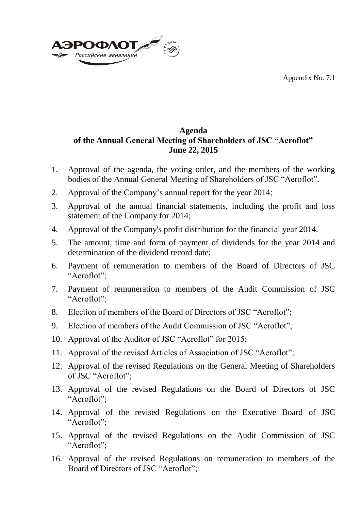Appendix No. 7.1



## **Agenda of the Annual General Meeting of Shareholders of JSC "Aeroflot" June 22, 2015**

- 1. Approval of the agenda, the voting order, and the members of the working bodies of the Annual General Meeting of Shareholders of JSC "Aeroflot".
- 2. Approval of the Company's annual report for the year 2014;
- 3. Approval of the annual financial statements, including the profit and loss statement of the Company for 2014;
- 4. Approval of the Company's profit distribution for the financial year 2014.
- 5. The amount, time and form of payment of dividends for the year 2014 and determination of the dividend record date;
- 6. Payment of remuneration to members of the Board of Directors of JSC "Aeroflot";
- 7. Payment of remuneration to members of the Audit Commission of JSC "Aeroflot";
- 8. Election of members of the Board of Directors of JSC "Aeroflot";
- 9. Election of members of the Audit Commission of JSC "Aeroflot";
- 10. Approval of the Auditor of JSC "Aeroflot" for 2015;
- 11. Approval of the revised Articles of Association of JSC "Aeroflot";
- 12. Approval of the revised Regulations on the General Meeting of Shareholders of JSC "Aeroflot";
- 13. Approval of the revised Regulations on the Board of Directors of JSC "Aeroflot";
- 14. Approval of the revised Regulations on the Executive Board of JSC "Aeroflot";
- 15. Approval of the revised Regulations on the Audit Commission of JSC "Aeroflot";
- 16. Approval of the revised Regulations on remuneration to members of the Board of Directors of JSC "Aeroflot";